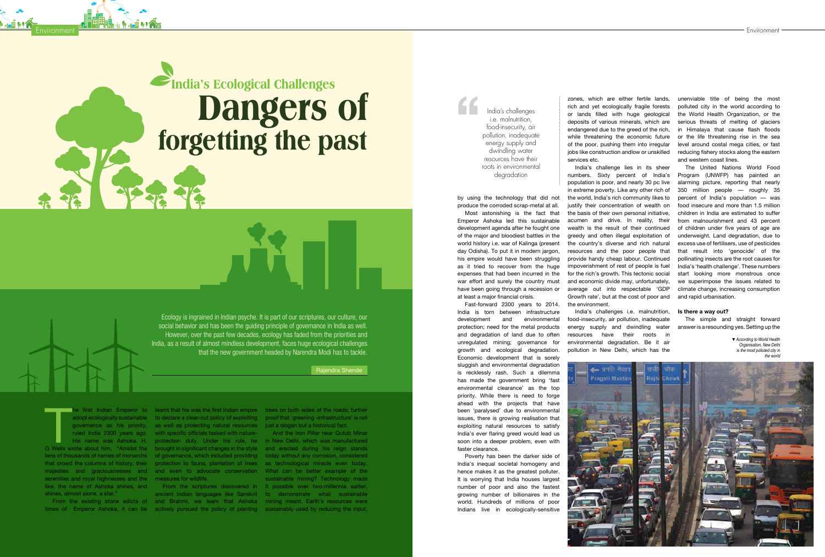Ecology is ingrained in Indian psyche. It is part of our scriptures, our culture, our social behavior and has been the guiding principle of governance in India as well. However, over the past few decades, ecology has faded from the priorities and India, as a result of almost mindless development, faces huge ecological challenges that the new government headed by Narendra Modi has to tackle.

Rajendra Shende

The first Indian Emperor to learnt that his was the first Indian empire trees on both sides of the roads; further adoptecologically sustainable to declare a clear-cut policy of exploiting proof that 'greening -infrastructu tens of thousands of names of monarchs of governance, which included providing today without any corrosion, considered that crowd the columns of history, their protection to fauna, plantation of trees as technological miracle even today. majesties and graciousnesses and and even to advocate conservation. What can be better example of the serenities and royal highnesses and the measures for wildlife. like, the name of Ashoka shines, and shines, almost alone, a star."

**Environment** 

times of Emperor Ashoka, it can be actively pursued the policy of planting sustainably used by reducing the input,

governance as his priority, as well as protecting natural resources just a slogan but a historical fact. ruled India 2300 years ago. with specific officials tasked with nature-

he first Indian Emperor to learnt that his was the first Indian empire trees on both sides of the roads; further adopt ecologically sustainable to declare a clear-cut policy of exploiting proof that 'greening -infrastructure' is not ▼ According to World Health Organisation, New Delhi is the most polluted city in the world



His name was Ashoka. H. protection duty. Under his rule, he in New Delhi, which was manufactured From the existing stone edicts of and Brahmi, we learn that Ashoka mining meant. Earth's resources were From the scriptures discovered in it possible over two-millennia earlier, ancient Indian languages like Sanskrit to demonstrate what sustainable And the Iron Pillar near Qutub Minar sustainable mining? Technology made

by using the technology that did not produce the corroded scrap-metal at all.

Most astonishing is the fact that Emperor Ashoka led this sustainable development agenda after he fought one of the major and bloodiest battles in the world history i.e. war of Kalinga (present day Odisha). To put it in modern jargon, his empire would have been struggling as it tried to recover from the huge expenses that had been incurred in the war effort and surely the country must have been going through a recession or at least a major financial crisis.

Fast-forward 2300 years to 2014. India is torn between infrastructure development and environmental protection; need for the metal products and degradation of land due to often unregulated mining; governance for growth and ecological degradation. Economic development that is sorely sluggish and environmental degradation is recklessly rash. Such a dilemma has made the government bring 'fast environmental clearance' as the top priority. While there is need to forge ahead with the projects that have been 'paralysed' due to environmental issues, there is growing realisation that exploiting natural resources to satisfy India's ever flaring greed would lead us soon into a deeper problem, even with faster clearance.

Poverty has been the darker side of India's inequal societal homogeny and hence makes it as the greatest polluter. It is worrying that India houses largest number of poor and also the fastest growing number of billionaires in the world. Hundreds of millions of poor Indians live in ecologically-sensitive

zones, which are either fertile lands, rich and yet ecologically fragile forests or lands filled with huge geological deposits of various minerals, which are endangered due to the greed of the rich, while threatening the economic future of the poor, pushing them into irregular jobs like construction andlow or unskilled

services etc.

# **India's Ecological Challenges Dangers of forgetting the past**

India's challenge lies in its sheer numbers. Sixty percent of India's population is poor, and nearly 30 pc live in extreme poverty. Like any other rich of the world, India's rich community likes to justify their concentration of wealth on the basis of their own personal initiative, acumen and drive. In reality, their wealth is the result of their continued greedy and often illegal exploitation of the country's diverse and rich natural resources and the poor people that provide handy cheap labour. Continued impoverishment of rest of people is fuel for the rich's growth. This tectonic social and economic divide may, unfortunately, average out into respectable 'GDP Growth rate', but at the cost of poor and the environment.

India's challenges i.e. malnutrition, food-insecurity, air pollution, inadequate energy supply and dwindling water resources have their roots in environmental degradation. Be it air pollution in New Delhi, which has the

unenviable title of being the most polluted city in the world according to the World Health Organization, or the serious threats of melting of glaciers in Himalaya that cause flash floods or the life threatening rise in the sea level around costal mega cities, or fast reducing fishery stocks along the eastern and western coast lines.

The United Nations World Food Program (UNWFP) has painted an alarming picture, reporting that nearly 350 million people — roughly 35 percent of India's population — was food insecure and more than 1.5 million children in India are estimated to suffer from malnourishment and 43 percent of children under five years of age are underweight. Land degradation, due to excess use of fertilisers, use of pesticides that result into 'genocide' of the pollinating insects are the root causes for India's 'health challenge'. These numbers start looking more monstrous once we superimpose the issues related to climate change, increasing consumption and rapid urbanisation.

# **Is there a way out?**

The simple and straight forward answer is a resounding yes. Setting up the

India's challenges i.e. malnutrition food-insecurity, air pollution, inadequate energy supply and dwindling water resources have their roots in environmental degradation